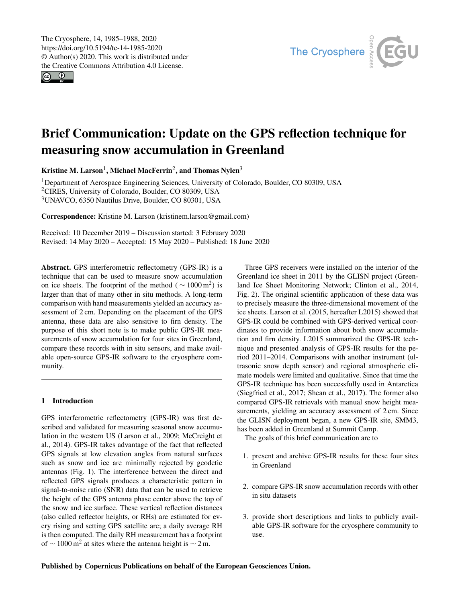$\circledcirc$ 



# Brief Communication: Update on the GPS reflection technique for measuring snow accumulation in Greenland

Kristine M. Larson<sup>[1](#page-0-0)</sup>, Michael MacFerrin<sup>[2](#page-0-0)</sup>, and Thomas Nylen<sup>[3](#page-0-0)</sup>

<sup>1</sup>Department of Aerospace Engineering Sciences, University of Colorado, Boulder, CO 80309, USA <sup>2</sup>CIRES, University of Colorado, Boulder, CO 80309, USA <sup>3</sup>UNAVCO, 6350 Nautilus Drive, Boulder, CO 80301, USA

Correspondence: Kristine M. Larson (kristinem.larson@gmail.com)

Received: 10 December 2019 – Discussion started: 3 February 2020 Revised: 14 May 2020 – Accepted: 15 May 2020 – Published: 18 June 2020

<span id="page-0-0"></span>Abstract. GPS interferometric reflectometry (GPS-IR) is a technique that can be used to measure snow accumulation on ice sheets. The footprint of the method ( $\sim 1000 \,\mathrm{m}^2$ ) is larger than that of many other in situ methods. A long-term comparison with hand measurements yielded an accuracy assessment of 2 cm. Depending on the placement of the GPS antenna, these data are also sensitive to firn density. The purpose of this short note is to make public GPS-IR measurements of snow accumulation for four sites in Greenland, compare these records with in situ sensors, and make available open-source GPS-IR software to the cryosphere community.

# 1 Introduction

GPS interferometric reflectometry (GPS-IR) was first described and validated for measuring seasonal snow accumulation in the western US (Larson et al., 2009; McCreight et al., 2014). GPS-IR takes advantage of the fact that reflected GPS signals at low elevation angles from natural surfaces such as snow and ice are minimally rejected by geodetic antennas (Fig. 1). The interference between the direct and reflected GPS signals produces a characteristic pattern in signal-to-noise ratio (SNR) data that can be used to retrieve the height of the GPS antenna phase center above the top of the snow and ice surface. These vertical reflection distances (also called reflector heights, or RHs) are estimated for every rising and setting GPS satellite arc; a daily average RH is then computed. The daily RH measurement has a footprint of  $\sim 1000 \,\mathrm{m}^2$  at sites where the antenna height is  $\sim 2 \,\mathrm{m}$ .

Three GPS receivers were installed on the interior of the Greenland ice sheet in 2011 by the GLISN project (Greenland Ice Sheet Monitoring Network; Clinton et al., 2014, Fig. 2). The original scientific application of these data was to precisely measure the three-dimensional movement of the ice sheets. Larson et al. (2015, hereafter L2015) showed that GPS-IR could be combined with GPS-derived vertical coordinates to provide information about both snow accumulation and firn density. L2015 summarized the GPS-IR technique and presented analysis of GPS-IR results for the period 2011–2014. Comparisons with another instrument (ultrasonic snow depth sensor) and regional atmospheric climate models were limited and qualitative. Since that time the GPS-IR technique has been successfully used in Antarctica (Siegfried et al., 2017; Shean et al., 2017). The former also compared GPS-IR retrievals with manual snow height measurements, yielding an accuracy assessment of 2 cm. Since the GLISN deployment began, a new GPS-IR site, SMM3, has been added in Greenland at Summit Camp.

The goals of this brief communication are to

- 1. present and archive GPS-IR results for these four sites in Greenland
- 2. compare GPS-IR snow accumulation records with other in situ datasets
- 3. provide short descriptions and links to publicly available GPS-IR software for the cryosphere community to use.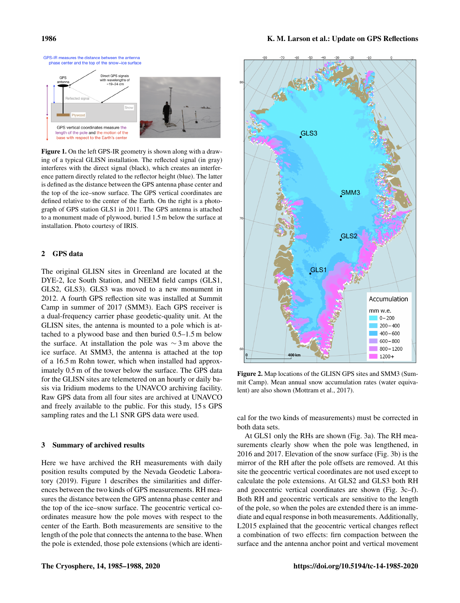

Figure 1. On the left GPS-IR geometry is shown along with a drawing of a typical GLISN installation. The reflected signal (in gray) interferes with the direct signal (black), which creates an interference pattern directly related to the reflector height (blue). The latter is defined as the distance between the GPS antenna phase center and the top of the ice–snow surface. The GPS vertical coordinates are defined relative to the center of the Earth. On the right is a photograph of GPS station GLS1 in 2011. The GPS antenna is attached to a monument made of plywood, buried 1.5 m below the surface at installation. Photo courtesy of IRIS.

# 2 GPS data

The original GLISN sites in Greenland are located at the DYE-2, Ice South Station, and NEEM field camps (GLS1, GLS2, GLS3). GLS3 was moved to a new monument in 2012. A fourth GPS reflection site was installed at Summit Camp in summer of 2017 (SMM3). Each GPS receiver is a dual-frequency carrier phase geodetic-quality unit. At the GLISN sites, the antenna is mounted to a pole which is attached to a plywood base and then buried 0.5–1.5 m below the surface. At installation the pole was ∼ 3 m above the ice surface. At SMM3, the antenna is attached at the top of a 16.5 m Rohn tower, which when installed had approximately 0.5 m of the tower below the surface. The GPS data for the GLISN sites are telemetered on an hourly or daily basis via Iridium modems to the UNAVCO archiving facility. Raw GPS data from all four sites are archived at UNAVCO and freely available to the public. For this study, 15 s GPS sampling rates and the L1 SNR GPS data were used.

#### 3 Summary of archived results

Here we have archived the RH measurements with daily position results computed by the Nevada Geodetic Laboratory (2019). Figure 1 describes the similarities and differences between the two kinds of GPS measurements. RH measures the distance between the GPS antenna phase center and the top of the ice–snow surface. The geocentric vertical coordinates measure how the pole moves with respect to the center of the Earth. Both measurements are sensitive to the length of the pole that connects the antenna to the base. When the pole is extended, those pole extensions (which are identi-



Figure 2. Map locations of the GLISN GPS sites and SMM3 (Summit Camp). Mean annual snow accumulation rates (water equivalent) are also shown (Mottram et al., 2017).

cal for the two kinds of measurements) must be corrected in both data sets.

At GLS1 only the RHs are shown (Fig. 3a). The RH measurements clearly show when the pole was lengthened, in 2016 and 2017. Elevation of the snow surface (Fig. 3b) is the mirror of the RH after the pole offsets are removed. At this site the geocentric vertical coordinates are not used except to calculate the pole extensions. At GLS2 and GLS3 both RH and geocentric vertical coordinates are shown (Fig. 3c–f). Both RH and geocentric verticals are sensitive to the length of the pole, so when the poles are extended there is an immediate and equal response in both measurements. Additionally, L2015 explained that the geocentric vertical changes reflect a combination of two effects: firn compaction between the surface and the antenna anchor point and vertical movement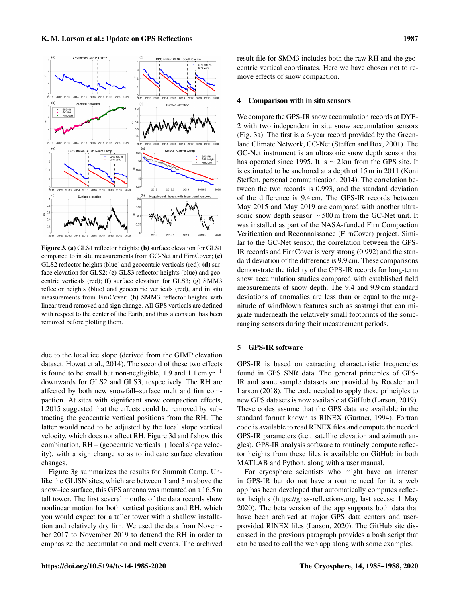

Figure 3. (a) GLS1 reflector heights; (b) surface elevation for GLS1 compared to in situ measurements from GC-Net and FirnCover; (c) GLS2 reflector heights (blue) and geocentric verticals (red); (d) surface elevation for GLS2; (e) GLS3 reflector heights (blue) and geocentric verticals (red); (f) surface elevation for GLS3; (g) SMM3 reflector heights (blue) and geocentric verticals (red), and in situ measurements from FirnCover; (h) SMM3 reflector heights with linear trend removed and sign change. All GPS verticals are defined with respect to the center of the Earth, and thus a constant has been removed before plotting them.

due to the local ice slope (derived from the GIMP elevation dataset, Howat et al., 2014). The second of these two effects is found to be small but non-negligible, 1.9 and 1.1 cm  $yr^{-1}$ downwards for GLS2 and GLS3, respectively. The RH are affected by both new snowfall–surface melt and firn compaction. At sites with significant snow compaction effects, L2015 suggested that the effects could be removed by subtracting the geocentric vertical positions from the RH. The latter would need to be adjusted by the local slope vertical velocity, which does not affect RH. Figure 3d and f show this combination,  $RH - (geocentric$  verticals  $+$  local slope velocity), with a sign change so as to indicate surface elevation changes.

Figure 3g summarizes the results for Summit Camp. Unlike the GLISN sites, which are between 1 and 3 m above the snow–ice surface, this GPS antenna was mounted on a 16.5 m tall tower. The first several months of the data records show nonlinear motion for both vertical positions and RH, which you would expect for a taller tower with a shallow installation and relatively dry firn. We used the data from November 2017 to November 2019 to detrend the RH in order to emphasize the accumulation and melt events. The archived result file for SMM3 includes both the raw RH and the geocentric vertical coordinates. Here we have chosen not to remove effects of snow compaction.

#### 4 Comparison with in situ sensors

We compare the GPS-IR snow accumulation records at DYE-2 with two independent in situ snow accumulation sensors (Fig. 3a). The first is a 6-year record provided by the Greenland Climate Network, GC-Net (Steffen and Box, 2001). The GC-Net instrument is an ultrasonic snow depth sensor that has operated since 1995. It is ∼ 2 km from the GPS site. It is estimated to be anchored at a depth of 15 m in 2011 (Koni Steffen, personal communication, 2014). The correlation between the two records is 0.993, and the standard deviation of the difference is 9.4 cm. The GPS-IR records between May 2015 and May 2019 are compared with another ultrasonic snow depth sensor ∼ 500 m from the GC-Net unit. It was installed as part of the NASA-funded Firn Compaction Verification and Reconnaissance (FirnCover) project. Similar to the GC-Net sensor, the correlation between the GPS-IR records and FirnCover is very strong (0.992) and the standard deviation of the difference is 9.9 cm. These comparisons demonstrate the fidelity of the GPS-IR records for long-term snow accumulation studies compared with established field measurements of snow depth. The 9.4 and 9.9 cm standard deviations of anomalies are less than or equal to the magnitude of windblown features such as sastrugi that can migrate underneath the relatively small footprints of the sonicranging sensors during their measurement periods.

### 5 GPS-IR software

GPS-IR is based on extracting characteristic frequencies found in GPS SNR data. The general principles of GPS-IR and some sample datasets are provided by Roesler and Larson (2018). The code needed to apply these principles to new GPS datasets is now available at GitHub (Larson, 2019). These codes assume that the GPS data are available in the standard format known as RINEX (Gurtner, 1994). Fortran code is available to read RINEX files and compute the needed GPS-IR parameters (i.e., satellite elevation and azimuth angles). GPS-IR analysis software to routinely compute reflector heights from these files is available on GitHub in both MATLAB and Python, along with a user manual.

For cryosphere scientists who might have an interest in GPS-IR but do not have a routine need for it, a web app has been developed that automatically computes reflector heights [\(https://gnss-reflections.org,](https://gnss-reflections.org) last access: 1 May 2020). The beta version of the app supports both data that have been archived at major GPS data centers and userprovided RINEX files (Larson, 2020). The GitHub site discussed in the previous paragraph provides a bash script that can be used to call the web app along with some examples.